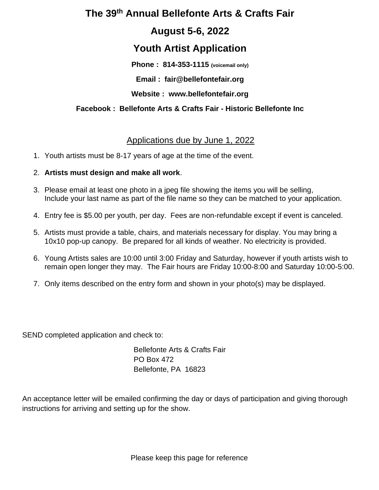# **The 39 th Annual Bellefonte Arts & Crafts Fair**

## **August 5-6, 2022**

# **Youth Artist Application**

**Phone : 814-353-1115 (voicemail only)**

**Email : fair@bellefontefair.org**

**Website : www.bellefontefair.org**

### **Facebook : Bellefonte Arts & Crafts Fair - Historic Bellefonte Inc**

## Applications due by June 1, 2022

1. Youth artists must be 8-17 years of age at the time of the event.

### 2. **Artists must design and make all work**.

- 3. Please email at least one photo in a jpeg file showing the items you will be selling, Include your last name as part of the file name so they can be matched to your application.
- 4. Entry fee is \$5.00 per youth, per day. Fees are non-refundable except if event is canceled.
- 5. Artists must provide a table, chairs, and materials necessary for display. You may bring a 10x10 pop-up canopy. Be prepared for all kinds of weather. No electricity is provided.
- 6. Young Artists sales are 10:00 until 3:00 Friday and Saturday, however if youth artists wish to remain open longer they may. The Fair hours are Friday 10:00-8:00 and Saturday 10:00-5:00.
- 7. Only items described on the entry form and shown in your photo(s) may be displayed.

SEND completed application and check to:

Bellefonte Arts & Crafts Fair PO Box 472 Bellefonte, PA 16823

An acceptance letter will be emailed confirming the day or days of participation and giving thorough instructions for arriving and setting up for the show.